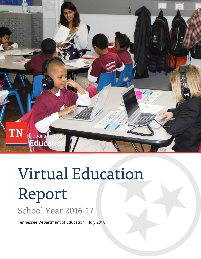

# **Virtual Education** Report School Year 2016-17

Tennessee Department of Education | July 2018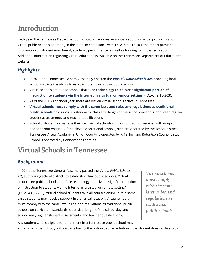## **Introduction**

Each year, the Tennessee Department of Education releases an annual report on virtual programs and virtual public schools operating in the state. In compliance with T.C.A. § 49-16-104, the report provides information on student enrollment, academic performance, as well as funding for virtual education. Additional information regarding virtual education is available on the Tennessee Department of Education's website.

## *Highlights*

- In 2011, the Tennessee General Assembly enacted the *Virtual Public Schools Act*, providing local school districts the ability to establish their own virtual public school.
- Virtual schools are public schools that **"use technology to deliver a significant portion of instruction to students via the Internet in a virtual or remote setting"** (T.C.A. 49-16-203).
- As of the 2016-17 school year, there are eleven virtual schools active in Tennessee.
- **Virtual schools must comply with the same laws and rules and regulations as traditional public schools** on curriculum standards, class size, length of the school day and school year, regular student assessments, and teacher qualifications.
- School districts may manage their own virtual schools or may contract for services with nonprofit and for-profit entities. Of the eleven operational schools, nine are operated by the school districts. Tennessee Virtual Academy in Union County is operated by K-12, Inc. and Robertson County Virtual School is operated by Connections Learning.

# **Virtual Schools in Tennessee**

## *Background*

In 2011, the Tennessee General Assembly passed the *Virtual Public Schools Act*, authorizing school districts to establish virtual public schools. Virtual schools are public schools that "use technology to deliver a significant portion of instruction to students via the Internet in a virtual or remote setting" (T.C.A. 49-16-203). Virtual school students take all courses online, but in some cases students may receive support in a physical location. Virtual schools must comply with the same law , rules, and regulations as traditional public schools on curriculum standards, class size, length of the school day and school year, regular student assessments, and teacher qualifications.

Virtual schools must comply with the same laws, rules, and regulations as traditional public schools.

Any student who is eligible for enrollment in a Tennessee public school may enroll in a virtual school, with districts having the option to charge tuition if the student does not live within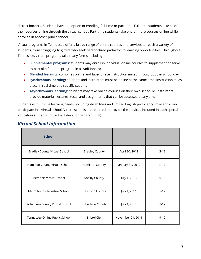district borders. Students have the option of enrolling full-time or part-time. Full-time students take all of their courses online through the virtual school. Part-time students take one or more courses online while enrolled in another public school.

Virtual programs in Tennessee offer a broad range of online courses and services to reach a variety of students, from struggling to gifted, who seek personalized pathways to learning opportunities. Throughout Tennessee, virtual programs take many forms including:

- **Supplemental programs:** students may enroll in individual online courses to supplement or serve as part of a full-time program in a traditional school
- **Blended learning:** combines online and face-to-face instruction mixed throughout the school day
- **Synchronous learning:** students and instructors must be online at the same time. Instruction takes place in real time at a specific set time
- **Asynchronous learning:** students may take online courses on their own schedule. Instructors provide material, lectures, tests, and assignments that can be accessed at any time

Students with unique learning needs, including disabilities and limited English proficiency, may enroll and participate in a virtual school. Virtual schools are required to provide the services included in each special education student's Individual Education Program (IEP).

| <b>School</b>                        |                       |                   |          |
|--------------------------------------|-----------------------|-------------------|----------|
| <b>Bradley County Virtual School</b> | <b>Bradley County</b> | April 20, 2012    | $3-12$   |
| Hamilton County Virtual School       | Hamilton County       | January 31, 2012  | $K-12$   |
| Memphis Virtual School               | Shelby County         | July 1, 2013      | $6 - 12$ |
| Metro Nashville Virtual School       | Davidson County       | July 1, 2011      | $5-12$   |
| Robertson County Virtual School      | Robertson County      | July 1, 2012      | $7-12$   |
| Tennessee Online Public School       | <b>Bristol City</b>   | November 21, 2011 | $9 - 12$ |

#### *Virtual School Information*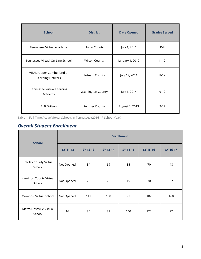| <b>School</b>                                  | <b>District</b>          | <b>Date Opened</b> | <b>Grades Served</b> |
|------------------------------------------------|--------------------------|--------------------|----------------------|
| Tennessee Virtual Academy                      | <b>Union County</b>      | July 1, 2011       | K-8                  |
| Tennessee Virtual On-Line School               | <b>Wilson County</b>     | January 1, 2012    | $K-12$               |
| VITAL: Upper Cumberland e-<br>Learning Network | Putnam County            | July 19, 2011      | $K-12$               |
| Tennessee Virtual Learning<br>Academy          | <b>Washington County</b> | July 1, 2014       | $9 - 12$             |
| E. B. Wilson                                   | <b>Sumner County</b>     | August 1, 2013     | $9 - 12$             |

Table 1. Full-Time Active Virtual Schools in Tennessee (2016-17 School Year)

## *Overall Student Enrollment*

| <b>School</b>                           | <b>Enrollment</b> |          |                 |          |          |          |  |  |  |  |
|-----------------------------------------|-------------------|----------|-----------------|----------|----------|----------|--|--|--|--|
|                                         | <b>SY 11-12</b>   | SY 12-13 | <b>SY 13-14</b> | SY 14-15 | SY 15-16 | SY 16-17 |  |  |  |  |
| <b>Bradley County Virtual</b><br>School | Not Opened        | 34       | 69              | 85       | 70       | 48       |  |  |  |  |
| Hamilton County Virtual<br>School       | Not Opened        | 22       | 26              | 19       | 30       | 27       |  |  |  |  |
| Memphis Virtual School<br>Not Opened    |                   | 111      | 150             | 97       | 102      | 168      |  |  |  |  |
| Metro Nashville Virtual<br>School       | 16                | 85       | 89              | 140      | 122      | 97       |  |  |  |  |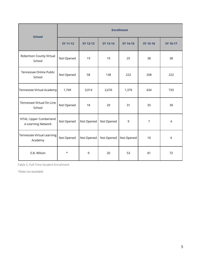| <b>School</b>                                 |                 | <b>Enrollment</b> |                 |            |                |                |  |  |  |  |  |  |
|-----------------------------------------------|-----------------|-------------------|-----------------|------------|----------------|----------------|--|--|--|--|--|--|
|                                               | <b>SY 11-12</b> | SY 12-13          | <b>SY 13-14</b> | SY 14-15   | SY 15-16       | SY 16-17       |  |  |  |  |  |  |
| Robertson County Virtual<br>School            | Not Opened      | 19                | 19              | 25         | 38             | 38             |  |  |  |  |  |  |
| Tennessee Online Public<br>School             | Not Opened      | 58                | 138             | 222        | 208            | 222            |  |  |  |  |  |  |
| Tennessee Virtual Academy                     | 1,749           | 3,014             | 2,676           | 1,379      | 634            | 733            |  |  |  |  |  |  |
| Tennessee Virtual On-Line<br>School           | Not Opened      | 18                | 29              | 31         | 35             | 39             |  |  |  |  |  |  |
| VITAL: Upper Cumberland<br>e-Learning Network | Not Opened      | Not Opened        | Not Opened      | 9          | $\overline{7}$ | $\overline{4}$ |  |  |  |  |  |  |
| Tennessee Virtual Learning<br>Academy         | Not Opened      | Not Opened        | Not Opened      | Not Opened | 10             | 6              |  |  |  |  |  |  |
| E.B. Wilson                                   | $^\star$        | 9                 | 20              | 53         | 81             | 72             |  |  |  |  |  |  |

Table 2. Full-Time Student Enrollment

*\*Data not available*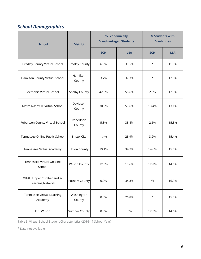## *School Demographics*

| <b>School</b>                                  | <b>District</b>       | % Economically | <b>Disadvantaged Students</b> | % Students with<br><b>Disabilities</b> |            |  |
|------------------------------------------------|-----------------------|----------------|-------------------------------|----------------------------------------|------------|--|
|                                                |                       | <b>SCH</b>     | <b>LEA</b>                    | <b>SCH</b>                             | <b>LEA</b> |  |
| <b>Bradley County Virtual School</b>           | <b>Bradley County</b> | 6.3%           | 30.5%                         | $\star$                                | 11.9%      |  |
| Hamilton County Virtual School                 | Hamilton<br>County    | 3.7%           | 37.3%                         | $\star$                                | 12.8%      |  |
| Memphis Virtual School                         | Shelby County         | 42.8%          | 58.6%                         | 2.0%                                   | 12.3%      |  |
| Metro Nashville Virtual School                 | Davidson<br>County    | 30.9%          | 50.6%                         | 13.4%                                  | 13.1%      |  |
| Robertson County Virtual School                | Robertson<br>County   | 5.3%           | 33.4%                         | 2.6%                                   | 15.3%      |  |
| Tennessee Online Public School                 | <b>Bristol City</b>   | 1.4%           | 28.9%                         | 3.2%                                   | 15.4%      |  |
| Tennessee Virtual Academy                      | <b>Union County</b>   | 19.1%          | 34.7%                         | 14.6%                                  | 15.5%      |  |
| Tennessee Virtual On-Line<br>School            | <b>Wilson County</b>  | 12.8%          | 13.6%                         | 12.8%                                  | 14.5%      |  |
| VITAL: Upper Cumberland e-<br>Learning Network | Putnam County         | 0.0%           | 34.3%                         | $*$ %                                  | 16.3%      |  |
| Tennessee Virtual Learning<br>Academy          | Washington<br>County  | 0.0%           | 26.8%                         | $^\star$                               | 15.5%      |  |
| E.B. Wilson                                    | <b>Sumner County</b>  | 0.0%           | .5%                           | 12.5%                                  | 14.6%      |  |

Table 3. Virtual School Student Characteristics (2016-17 School Year)

\* Data not available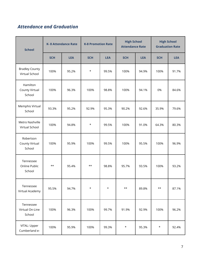## *Attendance and Graduation*

| <b>School</b>                                |               | <b>K-8 Attendance Rate</b> | <b>K-8 Promotion Rate</b> |            | <b>High School</b><br><b>Attendance Rate</b> |            | <b>High School</b><br><b>Graduation Rate</b> |            |    |       |
|----------------------------------------------|---------------|----------------------------|---------------------------|------------|----------------------------------------------|------------|----------------------------------------------|------------|----|-------|
| <b>SCH</b>                                   |               | <b>LEA</b>                 | <b>SCH</b>                | <b>LEA</b> | <b>SCH</b>                                   | <b>LEA</b> | <b>SCH</b>                                   | <b>LEA</b> |    |       |
| <b>Bradley County</b><br>Virtual School      | 100%          | 95.2%                      | $\star$                   | 99.5%      | 100%                                         | 94.9%      | 100%                                         | 91.7%      |    |       |
| Hamilton<br>County Virtual<br>School         | 100%<br>96.3% |                            |                           |            | 100%                                         | 98.8%      | 100%                                         | 94.1%      | 0% | 84.6% |
| Memphis Virtual<br>School                    | 93.3%         | 95.2%                      | 92.9%                     | 95.3%      | 90.2%                                        | 92.6%      | 35.9%                                        | 79.6%      |    |       |
| Metro Nashville<br>Virtual School            | 100%          | 94.8%                      | $^\star$                  | 99.5%      | 100%                                         | 91.0%      | 64.3%                                        | 80.3%      |    |       |
| Robertson<br><b>County Virtual</b><br>School | 100%          | 95.9%                      | 100%                      | 99.5%      | 100%                                         | 95.5%      | 100%                                         | 96.9%      |    |       |
| Tennessee<br>Online Public<br>School         | $***$         | 95.4%                      | $\star\star$              | 98.8%      | 95.7%                                        | 93.5%      | 100%                                         | 93.2%      |    |       |
| Tennessee<br>Virtual Academy                 | 95.5%         | 94.7%                      | $^\star$                  | $\star$    | $\star\star$                                 | 89.8%      | $\star\star$                                 | 87.1%      |    |       |
| Tennessee<br>Virtual On-Line<br>School       | 100%          | 96.3%                      | 100%                      | 99.7%      | 91.9%                                        | 92.9%      | 100%                                         | 96.2%      |    |       |
| VITAL: Upper<br>Cumberland e-                | 100%          | 95.9%                      | 100%                      | 99.3%      | $\star$                                      | 95.3%      | $\star$                                      | 92.4%      |    |       |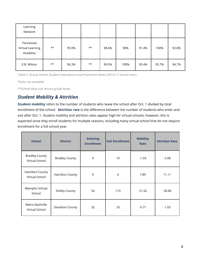| Learning<br>Network                      |       |       |       |       |      |       |       |       |
|------------------------------------------|-------|-------|-------|-------|------|-------|-------|-------|
| Tennessee<br>Virtual Learning<br>Academy | $***$ | 95.0% | $***$ | 98.6% | 90%  | 91.4% | 100%  | 92.8% |
| E.B. Wilson                              | $***$ | 96.3% | $***$ | 99.5% | 100% | 95.4% | 95.7% | 94.7% |

Table 5. Virtual School Student Attendance and Promotion Rates (2016-17 School Year)

\*Data not available

\*\*School does not service grade levels

### *Student Mobility & Attrition*

**Student mobility** refers to the number of students who leave the school after Oct. 1 divided by total enrollment of the school. **Attrition rate** is the difference between the number of students who enter and exit after Oct. 1. Student mobility and attrition rates appear high for virtual schools; however, this is expected since they enroll students for multiple reasons, including many virtual school that do not require enrollment for a full school year.

| <b>School</b>                           | <b>District</b>       | <b>Entering</b><br><b>Enrollment</b> | <b>Exit Enrollment</b> | <b>Mobility</b><br>Rate | <b>Attrition Rate</b> |
|-----------------------------------------|-----------------------|--------------------------------------|------------------------|-------------------------|-----------------------|
| <b>Bradley County</b><br>Virtual School | <b>Bradley County</b> | 9                                    | 10                     | $-1.59$                 | $-2.08$               |
| Hamilton County<br>Virtual School       | Hamilton County       | 9                                    | 6                      | 7.89                    | 11.11                 |
| Memphis Virtual<br>School               | Shelby County         | 54                                   | 110                    | $-21.62$                | $-36.84$              |
| Metro Nashville<br>Virtual School       | Davidson County       | 32                                   | 33                     | $-0.71$                 | $-1.03$               |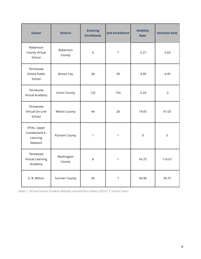| <b>School</b>                                        | <b>District</b>      | <b>Entering</b><br><b>Enrollment</b> | <b>Exit Enrollment</b> | <b>Mobility</b><br>Rate | <b>Attrition Rate</b> |
|------------------------------------------------------|----------------------|--------------------------------------|------------------------|-------------------------|-----------------------|
| Robertson<br>County Virtual<br>School                | Robertson<br>County  | 6                                    | $\overline{7}$         | $-2.27$                 | $-2.63$               |
| Tennessee<br>Online Public<br>School                 | <b>Bristol City</b>  | 28                                   | 39                     | $-4.09$                 | $-4.95$               |
| Tennessee<br>Virtual Academy                         | <b>Union County</b>  | 132                                  | 154                    | $-2.24$                 | $-3$                  |
| Tennessee<br>Virtual On-Line<br>School               | <b>Wilson County</b> | 44                                   | 28                     | 19.05                   | 41.03                 |
| VITAL: Upper<br>Cumberland e-<br>Learning<br>Network | Putnam County        | 1                                    | $\mathbf{1}$           | $\mathbf 0$             | $\mathbf 0$           |
| Tennessee<br><b>Virtual Learning</b><br>Academy      | Washington<br>County | 8                                    | $\mathbf{1}$           | 43.75                   | 116.67                |
| E. B. Wilson                                         | <b>Sumner County</b> | 50                                   | $\overline{7}$         | 34.96                   | 59.72                 |

Table 7. Virtual School Student Mobility and Attrition Rates (2016-17 School Year)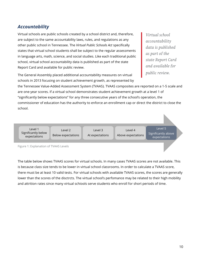### *Accountability*

Virtual schools are public schools created by a school district and, therefore, are subject to the same accountability laws, rules, and regulations as any other public school in Tennessee. The *Virtual Public Schools Act* specifically states that virtual school students shall be subject to the regular assessments in language arts, math, science, and social studies. Like each traditional public school, virtual school accountability data is published as part of the state Report Card and available for public review.

Virtual school accountability data is published as part of the state Report Card and available for *public review.* 

The General Assembly placed additional accountability measures on virtual schools in 2013 focusing on student achievement growth, as represented by

the Tennessee Value-Added Assessment System (TVAAS). TVAAS composites are reported on a 1-5 scale and are one-year scores. If a virtual school demonstrates student achievement growth at a level 1 of "significantly below expectations" for any three consecutive years of the school's operation, the commissioner of education has the authority to enforce an enrollment cap or direct the district to close the school.

Level 1 Significantly below expectations

Level 2 Below expectations

Level 3 At expectations

Level 4 Above expectations

Level 5 Significantly above expectations

Figure 1: Explanation of TVAAS Levels

The table below shows TVAAS scores for virtual schools. In many cases TVAAS scores are not available. This is because class size tends to be lower in virtual school classrooms. In order to calculate a TVAAS score, there must be at least 10 valid tests. For virtual schools with available TVAAS scores, the scores are generally lower than the scores of the disctrcts. The virtual school's perfomance may be related to their high mobility and attrition rates since many virtual schiools serve students who enroll for short periods of time.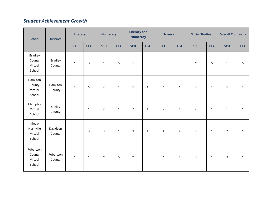## *Student Achievement Growth*

| <b>District</b><br><b>School</b>              |                          | Literacy   |              | <b>Numeracy</b> |              | <b>Literacy and</b><br><b>Numeracy</b> |              | <b>Science</b> |                | <b>Social Studies</b> |              | <b>Overall Composite</b> |              |
|-----------------------------------------------|--------------------------|------------|--------------|-----------------|--------------|----------------------------------------|--------------|----------------|----------------|-----------------------|--------------|--------------------------|--------------|
|                                               |                          | <b>SCH</b> | <b>LEA</b>   | <b>SCH</b>      | <b>LEA</b>   | <b>SCH</b>                             | <b>LEA</b>   | <b>SCH</b>     | <b>LEA</b>     | <b>SCH</b>            | <b>LEA</b>   | <b>SCH</b>               | <b>LEA</b>   |
| <b>Bradley</b><br>County<br>Virtual<br>School | <b>Bradley</b><br>County | $\star$    | $\mathbf{3}$ | $\mathbf{1}$    | 5            | $\mathbf{1}$                           | 5            | $\mathsf{3}$   | 5              | $\star$               | 5            | $\mathbf{1}$             | 5            |
| Hamilton<br>County<br>Virtual<br>School       | Hamilton<br>County       | $\star$    | 5            | $\star$         | $\mathbf{1}$ | $\star$                                | $\mathbf{1}$ | $\star$        | $\overline{1}$ | $\star$               | $\mathbf{1}$ | $\star$                  | $\mathbf{1}$ |
| Memphis<br>Virtual<br>School                  | Shelby<br>County         | 3          | $\mathbf{1}$ | $\overline{2}$  | $\mathbf{1}$ | $\overline{2}$                         | $\mathbf{1}$ | $\overline{2}$ | $\mathbf{1}$   | $\overline{2}$        | $\mathbf{1}$ | $\mathbf{1}$             | $\mathbf{1}$ |
| Metro<br>Nashville<br>Virtual<br>School       | Davidson<br>County       | 3          | $\mathsf{3}$ | $\mathsf{3}$    | $\mathbf{1}$ | 3                                      | $\mathbf{1}$ | $\mathbf{1}$   | $\overline{4}$ | 3                     | $\mathbf{1}$ | $\overline{2}$           | $\mathbf{1}$ |
| Robertson<br>County<br>Virtual<br>School      | Robertson<br>County      | $\star$    | $\mathbf{1}$ | $\star$         | 5            | $\star$                                | $\mathsf{3}$ | $\star$        | $\mathbf{1}$   | $\mathsf{3}$          | $\mathbf{1}$ | $\mathsf{3}$             | $\mathbf{1}$ |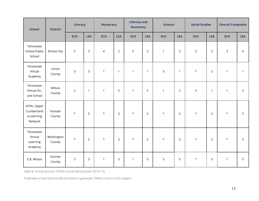| <b>School</b>                                       | <b>District</b>      | Literacy       |              | <b>Numeracy</b> |                |              | <b>Literacy and</b><br><b>Numeracy</b> |                | <b>Science</b> |              | <b>Social Studies</b> |                | <b>Overall Composite</b> |  |
|-----------------------------------------------------|----------------------|----------------|--------------|-----------------|----------------|--------------|----------------------------------------|----------------|----------------|--------------|-----------------------|----------------|--------------------------|--|
|                                                     |                      | <b>SCH</b>     | <b>LEA</b>   | <b>SCH</b>      | <b>LEA</b>     | <b>SCH</b>   | <b>LEA</b>                             | <b>SCH</b>     | <b>LEA</b>     | <b>SCH</b>   | <b>LEA</b>            | <b>SCH</b>     | <b>LEA</b>               |  |
| Tennessee<br>Online Public<br>School                | <b>Bristol City</b>  | 5              | 3            | $\overline{4}$  | $\overline{2}$ | 5            | $\mathsf{3}$                           | $\mathbf{1}$   | $\mathsf{3}$   | $\mathsf{3}$ | 5                     | $\overline{3}$ | $\overline{4}$           |  |
| Tennessee<br>Virtual<br>Academy                     | Union<br>County      | 3              | 3            | $\mathbf{1}$    | $\overline{1}$ | $\mathbf{1}$ | $\mathbf{1}$                           | $\overline{3}$ | $\mathbf{1}$   | $\star$      | $\overline{2}$        | $\mathbf{1}$   | $\mathbf{1}$             |  |
| Tennessee<br>Virtual On-<br>Line School             | Wilson<br>County     | $\overline{2}$ | $\mathbf{1}$ | $\mathbf{1}$    | 5              | $\mathbf{1}$ | 5                                      | $\mathbf{1}$   | $\overline{2}$ | $\mathsf{3}$ | $\mathbf{1}$          | $\mathbf{1}$   | $\mathbf{3}$             |  |
| VITAL: Upper<br>Cumberland<br>e-Learning<br>Network | Putnam<br>County     | $\star$        | 5            | $\star$         | 5              | $\star$      | 5                                      | $\star$        | $\mathsf{3}$   | $\star$      | 5                     | $\star$        | 5                        |  |
| Tennessee<br>Virtual<br>Learning<br>Academy         | Washington<br>County | $\star$        | 5            | $\star$         | 5              | $\star$      | 5                                      | $\star$        | $\mathbf{3}$   | $\star$      | 5                     | $\star$        | 5                        |  |
| E.B. Wilson                                         | Sumner<br>County     | 3              | $\mathsf{3}$ | $\mathbf{1}$    | 5              | $\mathbf{1}$ | 5                                      | $\mathsf{3}$   | 5              | $\star$      | $\overline{3}$        | $\mathbf{1}$   | 5                        |  |

Table 8. Virtual Schools TVAAS Scores (School year 2016-17)

\*Indicates school had insufficient data to generate TVAAS scores in this subject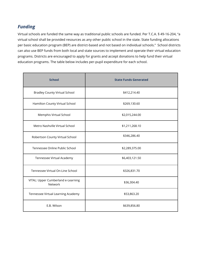## *Funding*

Virtual schools are funded the same way as traditional public schools are funded. Per T.C.A. § 49-16-204, "a virtual school shall be provided resources as any other public school in the state. State funding allocations per basic education program (BEP) are district-based and not based on individual schools." School districts can also use BEP funds from both local and state sources to implement and operate their virtual education programs. Districts are encouraged to apply for grants and accept donations to help fund their virtual education programs. The table below includes per-pupil expenditure for each school.

| <b>School</b>                                 | <b>State Funds Generated</b> |  |  |  |  |  |
|-----------------------------------------------|------------------------------|--|--|--|--|--|
| <b>Bradley County Virtual School</b>          | \$412,214.40                 |  |  |  |  |  |
| Hamilton County Virtual School                | \$269,130.60                 |  |  |  |  |  |
| Memphis Virtual School                        | \$2,015,244.00               |  |  |  |  |  |
| Metro Nashville Virtual School                | \$1,211,268.10               |  |  |  |  |  |
| Robertson County Virtual School               | \$346,286.40                 |  |  |  |  |  |
| Tennessee Online Public School                | \$2,289,375.00               |  |  |  |  |  |
| Tennessee Virtual Academy                     | \$6,403,121.50               |  |  |  |  |  |
| Tennessee Virtual On-Line School              | \$326,831.70                 |  |  |  |  |  |
| VITAL: Upper Cumberland e-Learning<br>Network | \$36,304.40                  |  |  |  |  |  |
| Tennessee Virtual Learning Academy            | \$53,863.20                  |  |  |  |  |  |
| E.B. Wilson                                   | \$639,856.80                 |  |  |  |  |  |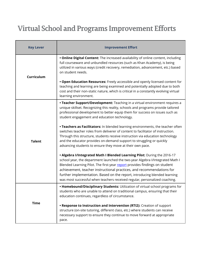# Virtual School and Programs Improvement Efforts

| <b>Key Lever</b> | <b>Improvement Effort</b>                                                                                                                                                                                                                                                                                                                                                                                                                                                   |
|------------------|-----------------------------------------------------------------------------------------------------------------------------------------------------------------------------------------------------------------------------------------------------------------------------------------------------------------------------------------------------------------------------------------------------------------------------------------------------------------------------|
| Curriculum       | . Online Digital Content: The increased availability of online content, including<br>full courseware and unbundled resources (such as Khan Academy), is being<br>utilized in various ways (credit recovery, remediation, advancement, etc.) based<br>on student needs.                                                                                                                                                                                                      |
|                  | . Open Education Resources: Freely accessible and openly licensed content for<br>teaching and learning are being examined and potentially adopted due to both<br>cost and their non-static nature, which is critical in a constantly evolving virtual<br>learning environment.                                                                                                                                                                                              |
|                  | • Teacher Support/Development: Teaching in a virtual environment requires a<br>unique skillset. Recognizing this reality, schools and programs provide tailored<br>professional development to better equip them for success on issues such as<br>student engagement and education technology.                                                                                                                                                                              |
| <b>Talent</b>    | . Teachers as Facilitators: In blended learning environments, the teacher often<br>switches teacher roles from deliverer of content to facilitator of instruction.<br>Through this structure, students receive instruction via education technology<br>and the educator provides on-demand support to struggling or quickly<br>advancing students to ensure they move at their own pace.                                                                                    |
|                  | . Algebra I/Integrated Math I Blended Learning Pilot: During the 2016-17<br>school year, the department launched the two-year Algebra I/Integrated Math I<br>Blended Learning Pilot. The first-year report provides findings on student<br>achievement, teacher instructional practices, and recommendations for<br>further implementation. Based on the report, introducing blended learning<br>was most successful when teachers received regular, personalized coaching. |
| <b>Time</b>      | • Homebound/Disciplinary Students: Utilization of virtual school programs for<br>students who are unable to attend on traditional campus, ensuring that their<br>education continues, regardless of circumstance.                                                                                                                                                                                                                                                           |
|                  | . Response to Instruction and Intervention (RTI2): Creation of support<br>structure (on-site tutoring, different class, etc.) where students can receive<br>necessary support to ensure they continue to move forward at appropriate<br>pace.                                                                                                                                                                                                                               |